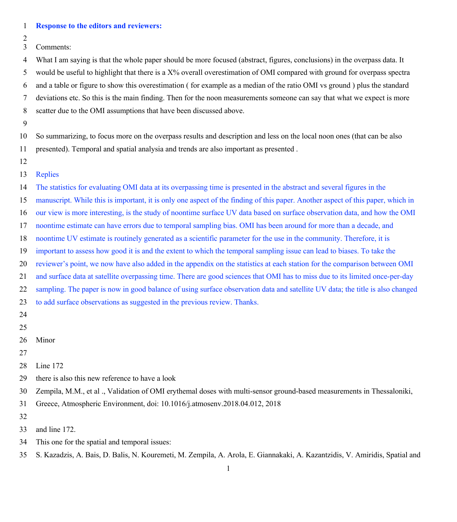| 1                   | <b>Response to the editors and reviewers:</b>                                                                                                                                                                                                        |
|---------------------|------------------------------------------------------------------------------------------------------------------------------------------------------------------------------------------------------------------------------------------------------|
| $\overline{c}$<br>3 |                                                                                                                                                                                                                                                      |
|                     | Comments:                                                                                                                                                                                                                                            |
| 4<br>5              | What I am saying is that the whole paper should be more focused (abstract, figures, conclusions) in the overpass data. It<br>would be useful to highlight that there is a X% overall overestimation of OMI compared with ground for overpass spectra |
| 6                   | and a table or figure to show this overestimation (for example as a median of the ratio OMI vs ground ) plus the standard                                                                                                                            |
|                     | deviations etc. So this is the main finding. Then for the noon measurements someone can say that what we expect is more                                                                                                                              |
| 7<br>$\,$ $\,$      | scatter due to the OMI assumptions that have been discussed above.                                                                                                                                                                                   |
| 9                   |                                                                                                                                                                                                                                                      |
| 10                  | So summarizing, to focus more on the overpass results and description and less on the local noon ones (that can be also                                                                                                                              |
| 11                  | presented). Temporal and spatial analysia and trends are also important as presented.                                                                                                                                                                |
| 12                  |                                                                                                                                                                                                                                                      |
| 13                  | <b>Replies</b>                                                                                                                                                                                                                                       |
| 14                  | The statistics for evaluating OMI data at its overpassing time is presented in the abstract and several figures in the                                                                                                                               |
| 15                  | manuscript. While this is important, it is only one aspect of the finding of this paper. Another aspect of this paper, which in                                                                                                                      |
| 16                  | our view is more interesting, is the study of noontime surface UV data based on surface observation data, and how the OMI                                                                                                                            |
| 17                  | noontime estimate can have errors due to temporal sampling bias. OMI has been around for more than a decade, and                                                                                                                                     |
| 18                  | noontime UV estimate is routinely generated as a scientific parameter for the use in the community. Therefore, it is                                                                                                                                 |
| 19                  | important to assess how good it is and the extent to which the temporal sampling issue can lead to biases. To take the                                                                                                                               |
| 20                  | reviewer's point, we now have also added in the appendix on the statistics at each station for the comparison between OMI                                                                                                                            |
| 21                  | and surface data at satellite overpassing time. There are good sciences that OMI has to miss due to its limited once-per-day                                                                                                                         |
| 22                  | sampling. The paper is now in good balance of using surface observation data and satellite UV data; the title is also changed                                                                                                                        |
| 23                  | to add surface observations as suggested in the previous review. Thanks.                                                                                                                                                                             |
| 24                  |                                                                                                                                                                                                                                                      |
| 25                  |                                                                                                                                                                                                                                                      |
| 26                  | Minor                                                                                                                                                                                                                                                |
| 27                  |                                                                                                                                                                                                                                                      |
| 28                  | Line 172                                                                                                                                                                                                                                             |
| 29                  | there is also this new reference to have a look                                                                                                                                                                                                      |

Zempila, M.M., et al ., Validation of OMI erythemal doses with multi-sensor ground-based measurements in Thessaloniki,

Greece, Atmospheric Environment, doi: 10.1016/j.atmosenv.2018.04.012, 2018

- 
- and line 172.
- This one for the spatial and temporal issues:
- S. Kazadzis, A. Bais, D. Balis, N. Kouremeti, M. Zempila, A. Arola, E. Giannakaki, A. Kazantzidis, V. Amiridis, Spatial and